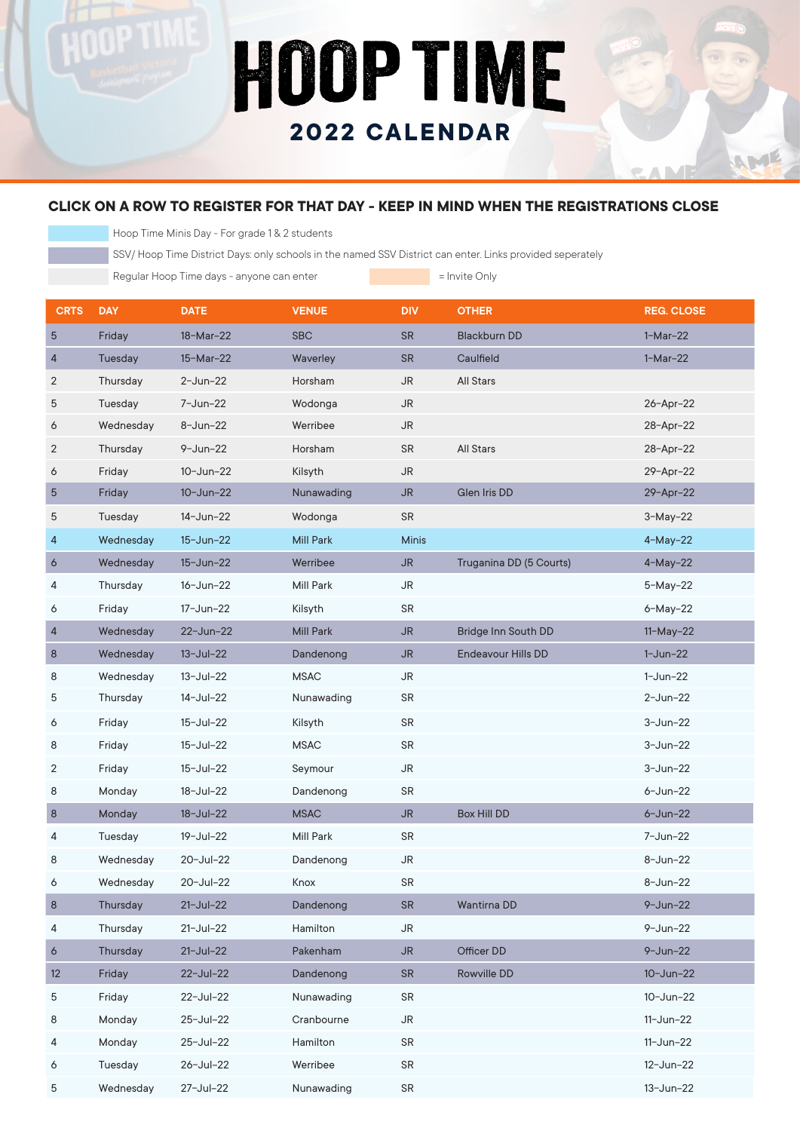## HOOP TIME **2022 CALENDAR**

## **CLICK ON A ROW TO REGISTER FOR THAT DAY - KEEP IN MIND WHEN THE REGISTRATIONS CLOSE**

Hoop Time Minis Day - For grade 1 & 2 students

nP TIM

SSV/ Hoop Time District Days: only schools in the named SSV District can enter. Links provided seperately

Regular Hoop Time days - anyone can enter **Fig. 1** Invite Only

AME

| <b>CRTS</b> | <b>DAY</b>     | <b>DATE</b>      | <b>VENUE</b>     | <b>DIV</b>   | <b>OTHER</b>              | <b>REG. CLOSE</b> |
|-------------|----------------|------------------|------------------|--------------|---------------------------|-------------------|
| 5           | Friday         | 18-Mar-22        | <b>SBC</b>       | <b>SR</b>    | <b>Blackburn DD</b>       | $1-Mar-22$        |
| 4           | <b>Tuesday</b> | 15-Mar-22        | Waverley         | <b>SR</b>    | Caulfield                 | $1-Mar-22$        |
| 2           | Thursday       | $2 - Jun-22$     | Horsham          | <b>JR</b>    | <b>All Stars</b>          |                   |
| 5           | Tuesday        | 7-Jun-22         | Wodonga          | <b>JR</b>    |                           | 26-Apr-22         |
| 6           | Wednesday      | 8-Jun-22         | Werribee         | <b>JR</b>    |                           | 28-Apr-22         |
| 2           | Thursday       | $9 - Jun-22$     | Horsham          | <b>SR</b>    | <b>All Stars</b>          | 28-Apr-22         |
| 6           | Friday         | 10-Jun-22        | Kilsyth          | JR           |                           | 29-Apr-22         |
| 5           | Friday         | $10 - Jun - 22$  | Nunawading       | <b>JR</b>    | <b>Glen Iris DD</b>       | 29-Apr-22         |
| 5           | Tuesday        | 14-Jun-22        | Wodonga          | <b>SR</b>    |                           | $3-May-22$        |
| 4           | Wednesday      | 15-Jun-22        | Mill Park        | <b>Minis</b> |                           | $4-May-22$        |
| 6           | Wednesday      | 15-Jun-22        | Werribee         | <b>JR</b>    | Truganina DD (5 Courts)   | $4-May-22$        |
| 4           | Thursday       | 16-Jun-22        | <b>Mill Park</b> | <b>JR</b>    |                           | $5-May-22$        |
| 6           | Friday         | 17-Jun-22        | Kilsyth          | <b>SR</b>    |                           | 6-May-22          |
| 4           | Wednesday      | 22-Jun-22        | Mill Park        | <b>JR</b>    | Bridge Inn South DD       | $11-May-22$       |
| $\bf 8$     | Wednesday      | $13 - Jul - 22$  | Dandenong        | <b>JR</b>    | <b>Endeavour Hills DD</b> | $1-Jun-22$        |
| 8           | Wednesday      | 13-Jul-22        | <b>MSAC</b>      | <b>JR</b>    |                           | $1-Jun-22$        |
| 5           | Thursday       | 14-Jul-22        | Nunawading       | <b>SR</b>    |                           | $2 - Jun-22$      |
| 6           | Friday         | 15-Jul-22        | Kilsyth          | <b>SR</b>    |                           | $3 - Jun-22$      |
| 8           | Friday         | 15-Jul-22        | <b>MSAC</b>      | <b>SR</b>    |                           | $3 - Jun-22$      |
| 2           | Friday         | 15-Jul-22        | Seymour          | <b>JR</b>    |                           | $3 - Jun-22$      |
| 8           | Monday         | 18-Jul-22        | Dandenong        | <b>SR</b>    |                           | $6 - Jun - 22$    |
| 8           | Monday         | $18 -$ Jul $-22$ | <b>MSAC</b>      | <b>JR</b>    | Box Hill DD               | $6 - Jun - 22$    |
| 4           | Tuesday        | 19-Jul-22        | Mill Park        | <b>SR</b>    |                           | 7-Jun-22          |
| 8           | Wednesday      | 20-Jul-22        | Dandenong        | <b>JR</b>    |                           | $8 - Jun - 22$    |
| 6           | Wednesday      | 20-Jul-22        | Knox             | <b>SR</b>    |                           | $8 - Jun - 22$    |
| 8           | Thursday       | $21 - Jul - 22$  | Dandenong        | ${\sf SR}$   | Wantirna DD               | $9 - Jun - 22$    |
| 4           | Thursday       | $21 -$ Jul-22    | Hamilton         | <b>JR</b>    |                           | $9 - Jun - 22$    |
| 6           | Thursday       | $21 - Jul - 22$  | Pakenham         | <b>JR</b>    | Officer DD                | $9 - Jun - 22$    |
| 12          | Friday         | 22-Jul-22        | Dandenong        | <b>SR</b>    | Rowville DD               | $10 - Jun - 22$   |
| 5           | Friday         | 22-Jul-22        | Nunawading       | <b>SR</b>    |                           | $10 - Jun - 22$   |
| 8           | Monday         | 25-Jul-22        | Cranbourne       | <b>JR</b>    |                           | $11 - Jun-22$     |
| 4           | Monday         | 25-Jul-22        | Hamilton         | SR           |                           | $11 - Jun-22$     |
| 6           | Tuesday        | 26-Jul-22        | Werribee         | SR           |                           | 12-Jun-22         |
| 5           | Wednesday      | 27-Jul-22        | Nunawading       | SR           |                           | 13-Jun-22         |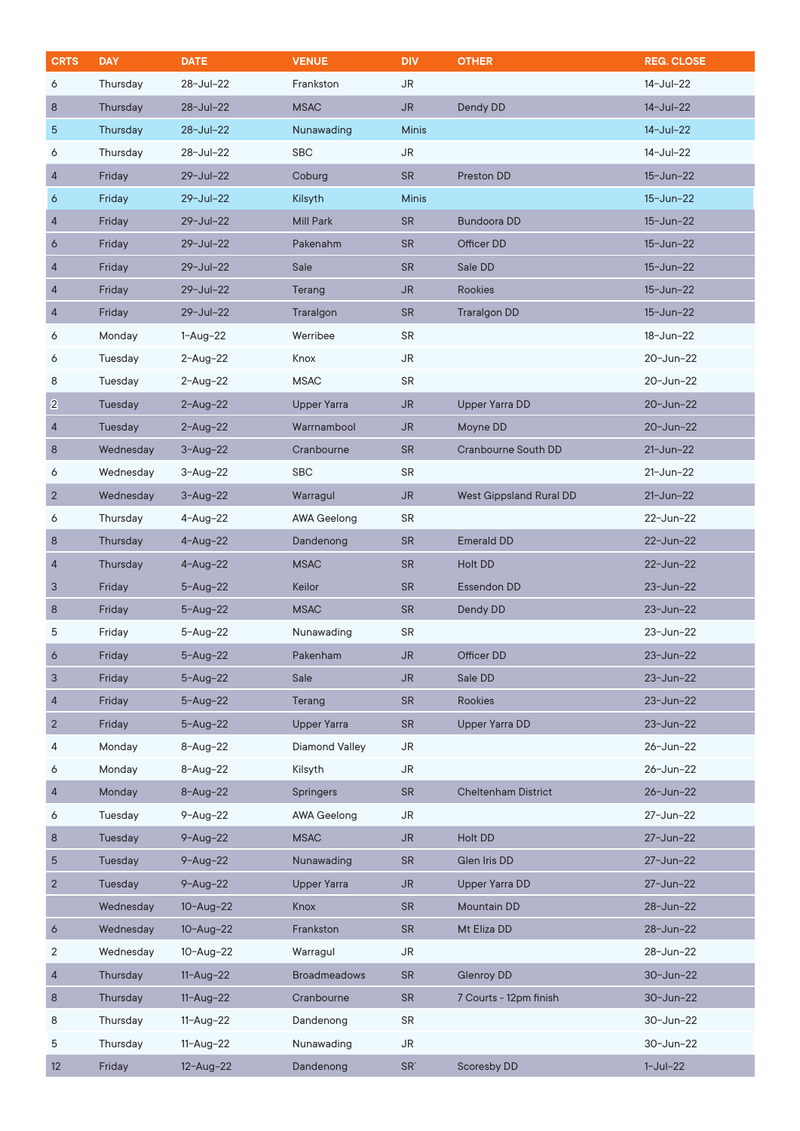| <b>CRTS</b>    | <b>DAY</b> | <b>DATE</b>     | <b>VENUE</b>          | <b>DIV</b>      | <b>OTHER</b>               | <b>REG. CLOSE</b> |
|----------------|------------|-----------------|-----------------------|-----------------|----------------------------|-------------------|
| 6              | Thursday   | 28-Jul-22       | Frankston             | JR              |                            | 14-Jul-22         |
| 8              | Thursday   | 28-Jul-22       | <b>MSAC</b>           | JR.             | Dendy DD                   | 14-Jul-22         |
| 5              | Thursday   | 28-Jul-22       | Nunawading            | <b>Minis</b>    |                            | $14 - Jul - 22$   |
| 6              | Thursday   | 28-Jul-22       | <b>SBC</b>            | <b>JR</b>       |                            | 14-Jul-22         |
| 4              | Friday     | 29-Jul-22       | Coburg                | <b>SR</b>       | Preston DD                 | 15-Jun-22         |
| 6              | Friday     | 29-Jul-22       | Kilsyth               | <b>Minis</b>    |                            | $15 - Jun - 22$   |
| 4              | Friday     | 29-Jul-22       | <b>Mill Park</b>      | <b>SR</b>       | <b>Bundoora DD</b>         | 15-Jun-22         |
| 6              | Friday     | 29-Jul-22       | Pakenahm              | <b>SR</b>       | Officer DD                 | 15-Jun-22         |
| 4              | Friday     | 29-Jul-22       | Sale                  | <b>SR</b>       | Sale DD                    | 15-Jun-22         |
| 4              | Friday     | 29-Jul-22       | Terang                | JR.             | Rookies                    | 15-Jun-22         |
| 4              | Friday     | 29-Jul-22       | Traralgon             | <b>SR</b>       | <b>Traralgon DD</b>        | 15-Jun-22         |
| 6              | Monday     | $1 - Aug - 22$  | Werribee              | <b>SR</b>       |                            | 18-Jun-22         |
| 6              | Tuesday    | $2 - Aug - 22$  | Knox                  | <b>JR</b>       |                            | 20-Jun-22         |
| 8              | Tuesday    | $2 - Aug - 22$  | <b>MSAC</b>           | <b>SR</b>       |                            | 20-Jun-22         |
| $\bf{2}$       | Tuesday    | $2 - Aug - 22$  | <b>Upper Yarra</b>    | JR.             | <b>Upper Yarra DD</b>      | 20-Jun-22         |
| 4              | Tuesday    | $2 - Aug - 22$  | Warrnambool           | JR.             | Moyne DD                   | 20-Jun-22         |
| $\bf 8$        | Wednesday  | $3 - Aug - 22$  | Cranbourne            | <b>SR</b>       | <b>Cranbourne South DD</b> | $21 - Jun - 22$   |
| 6              | Wednesday  | $3 - Aug - 22$  | <b>SBC</b>            | <b>SR</b>       |                            | 21-Jun-22         |
| $\overline{2}$ | Wednesday  | $3 - Aug - 22$  | Warragul              | JR.             | West Gippsland Rural DD    | $21 - Jun - 22$   |
| 6              | Thursday   | $4 - Aug - 22$  | <b>AWA Geelong</b>    | <b>SR</b>       |                            | 22-Jun-22         |
| 8              | Thursday   | $4 - Aug - 22$  | Dandenong             | <b>SR</b>       | <b>Emerald DD</b>          | 22-Jun-22         |
| 4              | Thursday   | $4 - Aug - 22$  | <b>MSAC</b>           | <b>SR</b>       | Holt DD                    | 22-Jun-22         |
| 3              | Friday     | $5 - Aug - 22$  | Keilor                | <b>SR</b>       | Essendon DD                | 23-Jun-22         |
| 8              | Friday     | $5 - Aug - 22$  | <b>MSAC</b>           | <b>SR</b>       | Dendy DD                   | 23-Jun-22         |
| 5              | Friday     | $5 - Aug - 22$  | Nunawading            | SR              |                            | 23-Jun-22         |
| 6              | Friday     | $5 - Aug - 22$  | Pakenham              | JR              | Officer DD                 | 23-Jun-22         |
| 3              | Friday     | $5 - Aug - 22$  | Sale                  | <b>JR</b>       | Sale DD                    | 23-Jun-22         |
| 4              | Friday     | $5 - Aug - 22$  | Terang                | <b>SR</b>       | Rookies                    | 23-Jun-22         |
| $\overline{2}$ | Friday     | $5 - Aug - 22$  | <b>Upper Yarra</b>    | <b>SR</b>       | <b>Upper Yarra DD</b>      | 23-Jun-22         |
| 4              | Monday     | $8 - Aug - 22$  | <b>Diamond Valley</b> | JR              |                            | 26-Jun-22         |
| 6              | Monday     | $8 - Aug - 22$  | Kilsyth               | JR              |                            | 26-Jun-22         |
| 4              | Monday     | $8 - Aug - 22$  | <b>Springers</b>      | <b>SR</b>       | <b>Cheltenham District</b> | 26-Jun-22         |
| 6              | Tuesday    | $9 - Aug - 22$  | <b>AWA Geelong</b>    | <b>JR</b>       |                            | 27-Jun-22         |
| 8              | Tuesday    | $9 - Aug - 22$  | <b>MSAC</b>           | JR.             | Holt DD                    | 27-Jun-22         |
| 5              | Tuesday    | $9 - Aug - 22$  | Nunawading            | <b>SR</b>       | Glen Iris DD               | 27-Jun-22         |
| $\overline{2}$ | Tuesday    | $9 - Aug - 22$  | <b>Upper Yarra</b>    | JR              | <b>Upper Yarra DD</b>      | 27-Jun-22         |
|                | Wednesday  | $10 - Aug - 22$ | Knox                  | <b>SR</b>       | Mountain DD                | 28-Jun-22         |
| 6              | Wednesday  | $10 - Aug - 22$ | Frankston             | <b>SR</b>       | Mt Eliza DD                | 28-Jun-22         |
| 2              | Wednesday  | $10 - Aug - 22$ | Warragul              | <b>JR</b>       |                            | 28-Jun-22         |
| 4              | Thursday   | $11 - Aug - 22$ | <b>Broadmeadows</b>   | <b>SR</b>       | <b>Glenroy DD</b>          | 30-Jun-22         |
| $\bf 8$        | Thursday   | $11 - Aug - 22$ | Cranbourne            | <b>SR</b>       | 7 Courts - 12pm finish     | 30-Jun-22         |
| 8              | Thursday   | $11 - Aug - 22$ | Dandenong             | <b>SR</b>       |                            | 30-Jun-22         |
| 5              | Thursday   | $11 - Aug - 22$ | Nunawading            | JR              |                            | 30-Jun-22         |
| 12             | Friday     | $12 - Aug - 22$ | Dandenong             | SR <sup>'</sup> | Scoresby DD                | $1-Jul-22$        |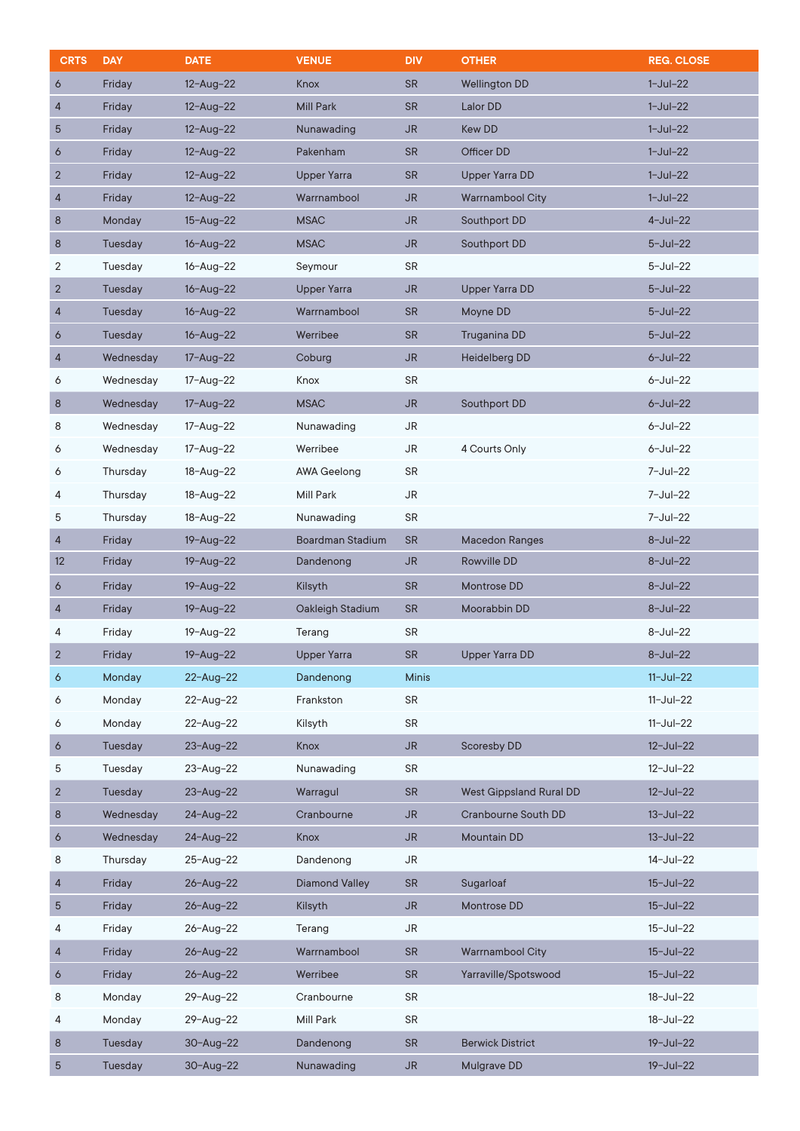| <b>CRTS</b>    | <b>DAY</b> | <b>DATE</b>     | <b>VENUE</b>            | <b>DIV</b>     | <b>OTHER</b>                   | <b>REG. CLOSE</b> |
|----------------|------------|-----------------|-------------------------|----------------|--------------------------------|-------------------|
| 6              | Friday     | $12 - Aug - 22$ | Knox                    | <b>SR</b>      | <b>Wellington DD</b>           | $1-Jul-22$        |
| 4              | Friday     | $12 - Aug - 22$ | <b>Mill Park</b>        | <b>SR</b>      | Lalor DD                       | $1-Jul-22$        |
| 5              | Friday     | $12 - Aug - 22$ | Nunawading              | <b>JR</b>      | Kew DD                         | $1-Jul-22$        |
| 6              | Friday     | $12 - Aug - 22$ | Pakenham                | <b>SR</b>      | Officer DD                     | $1-Jul-22$        |
| $\overline{c}$ | Friday     | $12 - Aug - 22$ | <b>Upper Yarra</b>      | <b>SR</b>      | <b>Upper Yarra DD</b>          | $1-Jul-22$        |
| 4              | Friday     | $12 - Aug - 22$ | Warrnambool             | <b>JR</b>      | <b>Warrnambool City</b>        | $1-Jul-22$        |
| 8              | Monday     | $15 - Aug - 22$ | <b>MSAC</b>             | <b>JR</b>      | Southport DD                   | $4$ -Jul-22       |
| $\bf 8$        | Tuesday    | $16 - Aug - 22$ | <b>MSAC</b>             | <b>JR</b>      | Southport DD                   | $5 -$ Jul $-22$   |
| 2              | Tuesday    | $16 - Aug - 22$ | Seymour                 | <b>SR</b>      |                                | $5 -$ Jul $-22$   |
| $\overline{c}$ | Tuesday    | $16 - Aug - 22$ | <b>Upper Yarra</b>      | <b>JR</b>      | <b>Upper Yarra DD</b>          | $5 -$ Jul $-22$   |
| 4              | Tuesday    | $16 - Aug - 22$ | Warrnambool             | <b>SR</b>      | Moyne DD                       | $5 -$ Jul $-22$   |
| 6              | Tuesday    | $16 - Aug - 22$ | Werribee                | <b>SR</b>      | Truganina DD                   | $5 -$ Jul $-22$   |
| 4              | Wednesday  | 17-Aug-22       | Coburg                  | <b>JR</b>      | <b>Heidelberg DD</b>           | $6 -$ Jul $-22$   |
| 6              | Wednesday  | 17-Aug-22       | Knox                    | <b>SR</b>      |                                | $6 -$ Jul $-22$   |
| $\bf8$         | Wednesday  | $17 - Aug - 22$ | <b>MSAC</b>             | <b>JR</b>      | Southport DD                   | $6 -$ Jul $-22$   |
| 8              | Wednesday  | 17-Aug-22       | Nunawading              | <b>JR</b>      |                                | $6 -$ Jul $-22$   |
| 6              | Wednesday  | 17-Aug-22       | Werribee                | <b>JR</b>      | 4 Courts Only                  | $6 -$ Jul $-22$   |
| 6              | Thursday   | 18-Aug-22       | AWA Geelong             | <b>SR</b>      |                                | 7-Jul-22          |
| 4              | Thursday   | 18-Aug-22       | <b>Mill Park</b>        | <b>JR</b>      |                                | 7-Jul-22          |
| 5              | Thursday   | 18-Aug-22       | Nunawading              | SR             |                                | 7-Jul-22          |
| 4              | Friday     | 19-Aug-22       | <b>Boardman Stadium</b> | <b>SR</b>      | <b>Macedon Ranges</b>          | $8 - Jul - 22$    |
| 12             | Friday     | 19-Aug-22       | Dandenong               | <b>JR</b>      | Rowville DD                    | 8-Jul-22          |
| 6              | Friday     | $19 - Aug - 22$ | Kilsyth                 | <b>SR</b>      | Montrose DD                    | $8 - Jul - 22$    |
| 4              | Friday     | $19 - Aug - 22$ | Oakleigh Stadium        | <b>SR</b>      | Moorabbin DD                   | 8-Jul-22          |
| 4              | Friday     | 19-Aug-22       | Terang                  | SR             |                                | 8-Jul-22          |
| 2              | Friday     | 19-Aug-22       | <b>Upper Yarra</b>      | SR.            | <b>Upper Yarra DD</b>          | 8-Jul-22          |
| 6              | Monday     | $22 - Aug - 22$ | Dandenong               | <b>Minis</b>   |                                | $11 -$ Jul $-22$  |
| 6              | Monday     | 22-Aug-22       | Frankston               | SR             |                                | $11-Jul-22$       |
| 6              | Monday     | 22-Aug-22       | Kilsyth                 | <b>SR</b>      |                                | $11-Jul-22$       |
| 6              | Tuesday    | $23 - Aug - 22$ | Knox                    | <b>JR</b>      | <b>Scoresby DD</b>             | $12 - Jul - 22$   |
| 5              | Tuesday    | 23-Aug-22       | Nunawading              | SR             |                                | 12-Jul-22         |
| $\overline{c}$ | Tuesday    | $23 - Aug - 22$ | Warragul                | <b>SR</b>      | <b>West Gippsland Rural DD</b> | $12 -$ Jul $-22$  |
| 8              | Wednesday  | $24 - Aug - 22$ | Cranbourne              | <b>JR</b>      | Cranbourne South DD            | $13 - Jul - 22$   |
| 6              | Wednesday  | $24 - Aug - 22$ | Knox                    | <b>JR</b>      | <b>Mountain DD</b>             | $13 - Jul - 22$   |
| 8              | Thursday   | 25-Aug-22       | Dandenong               | <b>JR</b>      |                                | 14-Jul-22         |
| $\overline{4}$ | Friday     | 26-Aug-22       | <b>Diamond Valley</b>   | <b>SR</b>      | Sugarloaf                      | $15 -$ Jul $-22$  |
| 5              | Friday     | 26-Aug-22       | Kilsyth                 | <b>JR</b>      | Montrose DD                    | $15 -$ Jul $-22$  |
| 4              | Friday     | 26-Aug-22       | Terang                  | JR             |                                | 15-Jul-22         |
| $\overline{4}$ | Friday     | 26-Aug-22       | Warrnambool             | <b>SR</b>      | <b>Warrnambool City</b>        | $15 -$ Jul $-22$  |
| 6              | Friday     | 26-Aug-22       | Werribee                | <b>SR</b>      | Yarraville/Spotswood           | $15 -$ Jul $-22$  |
| 8              | Monday     | 29-Aug-22       | Cranbourne              | <b>SR</b>      |                                | 18-Jul-22         |
| 4              | Monday     | 29-Aug-22       | Mill Park               | <b>SR</b>      |                                | 18-Jul-22         |
| $\bf 8$        | Tuesday    | $30 - Aug - 22$ | Dandenong               | <b>SR</b>      | <b>Berwick District</b>        | 19-Jul-22         |
| 5              | Tuesday    | 30-Aug-22       | Nunawading              | J <sub>R</sub> | Mulgrave DD                    | 19-Jul-22         |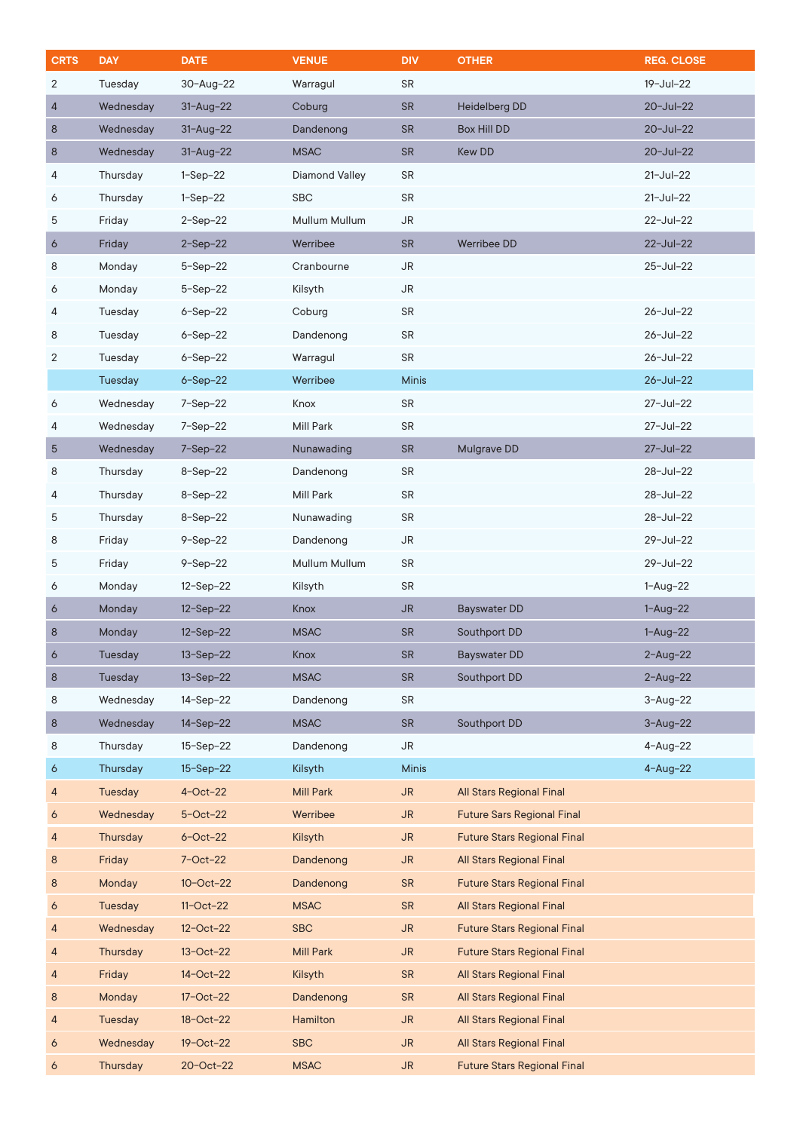| <b>CRTS</b> | <b>DAY</b>     | <b>DATE</b>     | <b>VENUE</b>          | <b>DIV</b>   | <b>OTHER</b>                       | <b>REG. CLOSE</b> |
|-------------|----------------|-----------------|-----------------------|--------------|------------------------------------|-------------------|
| 2           | Tuesday        | 30-Aug-22       | Warragul              | <b>SR</b>    |                                    | 19-Jul-22         |
| 4           | Wednesday      | $31 - Aug - 22$ | Coburg                | <b>SR</b>    | <b>Heidelberg DD</b>               | 20-Jul-22         |
| 8           | Wednesday      | $31 - Aug - 22$ | Dandenong             | <b>SR</b>    | <b>Box Hill DD</b>                 | 20-Jul-22         |
| 8           | Wednesday      | $31 - Aug - 22$ | <b>MSAC</b>           | <b>SR</b>    | Kew DD                             | 20-Jul-22         |
| 4           | Thursday       | $1-Sep-22$      | <b>Diamond Valley</b> | <b>SR</b>    |                                    | $21 -$ Jul-22     |
| 6           | Thursday       | $1-Sep-22$      | <b>SBC</b>            | <b>SR</b>    |                                    | $21 -$ Jul-22     |
| 5           | Friday         | $2-Sep-22$      | Mullum Mullum         | JR           |                                    | 22-Jul-22         |
| 6           | Friday         | $2-Sep-22$      | Werribee              | <b>SR</b>    | Werribee DD                        | 22-Jul-22         |
| 8           | Monday         | $5-$ Sep $-22$  | Cranbourne            | <b>JR</b>    |                                    | 25-Jul-22         |
| 6           | Monday         | $5-$ Sep $-22$  | Kilsyth               | <b>JR</b>    |                                    |                   |
| 4           | Tuesday        | $6-Sep-22$      | Coburg                | <b>SR</b>    |                                    | 26-Jul-22         |
| 8           | Tuesday        | $6-Sep-22$      | Dandenong             | <b>SR</b>    |                                    | 26-Jul-22         |
| 2           | Tuesday        | $6-Sep-22$      | Warragul              | <b>SR</b>    |                                    | 26-Jul-22         |
|             | <b>Tuesday</b> | $6 - Sep-22$    | Werribee              | <b>Minis</b> |                                    | 26-Jul-22         |
| 6           | Wednesday      | $7-Sep-22$      | Knox                  | <b>SR</b>    |                                    | 27-Jul-22         |
| 4           | Wednesday      | $7-Sep-22$      | <b>Mill Park</b>      | <b>SR</b>    |                                    | 27-Jul-22         |
| 5           | Wednesday      | $7-Sep-22$      | Nunawading            | <b>SR</b>    | Mulgrave DD                        | 27-Jul-22         |
| 8           | Thursday       | $8 - Sep - 22$  | Dandenong             | <b>SR</b>    |                                    | 28-Jul-22         |
| 4           | Thursday       | $8 - Sep - 22$  | Mill Park             | <b>SR</b>    |                                    | 28-Jul-22         |
| 5           | Thursday       | $8-Sep-22$      | Nunawading            | <b>SR</b>    |                                    | 28-Jul-22         |
| 8           | Friday         | $9-Sep-22$      | Dandenong             | <b>JR</b>    |                                    | 29-Jul-22         |
| 5           | Friday         | $9-Sep-22$      | Mullum Mullum         | <b>SR</b>    |                                    | 29-Jul-22         |
| 6           | Monday         | $12-Sep-22$     | Kilsyth               | <b>SR</b>    |                                    | $1 - Aug - 22$    |
| 6           | Monday         | $12-Sep-22$     | Knox                  | <b>JR</b>    | <b>Bayswater DD</b>                | $1 - Aug - 22$    |
| 8           | Monday         | 12-Sep-22       | <b>MSAC</b>           | <b>SR</b>    | Southport DD                       | $1 - Aug - 22$    |
| $\circ$     | Tuesday        | 13-Sep-22       | Knox                  | SR           | <b>Bayswater DD</b>                | $2 - Aug - 22$    |
| $\bf 8$     | Tuesday        | $13-Sep-22$     | <b>MSAC</b>           | SR           | Southport DD                       | $2 - Aug - 22$    |
| 8           | Wednesday      | 14-Sep-22       | Dandenong             | <b>SR</b>    |                                    | $3 - Aug - 22$    |
| $\bf 8$     | Wednesday      | $14-Sep-22$     | <b>MSAC</b>           | <b>SR</b>    | Southport DD                       | $3 - Aug - 22$    |
| 8           | Thursday       | $15-Sep-22$     | Dandenong             | <b>JR</b>    |                                    | $4 - Aug - 22$    |
| 6           | Thursday       | 15-Sep-22       | Kilsyth               | <b>Minis</b> |                                    | $4 - Aug - 22$    |
| 4           | Tuesday        | $4$ -Oct-22     | <b>Mill Park</b>      | <b>JR</b>    | <b>All Stars Regional Final</b>    |                   |
| 6           | Wednesday      | $5-Oct-22$      | Werribee              | <b>JR</b>    | <b>Future Sars Regional Final</b>  |                   |
| 4           | Thursday       | $6$ -Oct-22     | Kilsyth               | <b>JR</b>    | <b>Future Stars Regional Final</b> |                   |
| 8           | Friday         | $7$ -Oct-22     | Dandenong             | <b>JR</b>    | <b>All Stars Regional Final</b>    |                   |
| 8           | Monday         | $10 - Oct - 22$ | Dandenong             | <b>SR</b>    | <b>Future Stars Regional Final</b> |                   |
| 6           | Tuesday        | $11-Oct-22$     | <b>MSAC</b>           | <b>SR</b>    | <b>All Stars Regional Final</b>    |                   |
| 4           | Wednesday      | $12 - Oct - 22$ | <b>SBC</b>            | <b>JR</b>    | <b>Future Stars Regional Final</b> |                   |
| 4           | Thursday       | $13-Oct-22$     | <b>Mill Park</b>      | <b>JR</b>    | <b>Future Stars Regional Final</b> |                   |
| 4           | Friday         | 14-Oct-22       | Kilsyth               | <b>SR</b>    | <b>All Stars Regional Final</b>    |                   |
| 8           | Monday         | 17-Oct-22       | Dandenong             | <b>SR</b>    | <b>All Stars Regional Final</b>    |                   |
| 4           | Tuesday        | 18-Oct-22       | Hamilton              | <b>JR</b>    | <b>All Stars Regional Final</b>    |                   |
| 6           | Wednesday      | 19-Oct-22       | <b>SBC</b>            | <b>JR</b>    | <b>All Stars Regional Final</b>    |                   |
| 6           | Thursday       | 20-Oct-22       | <b>MSAC</b>           | <b>JR</b>    | <b>Future Stars Regional Final</b> |                   |